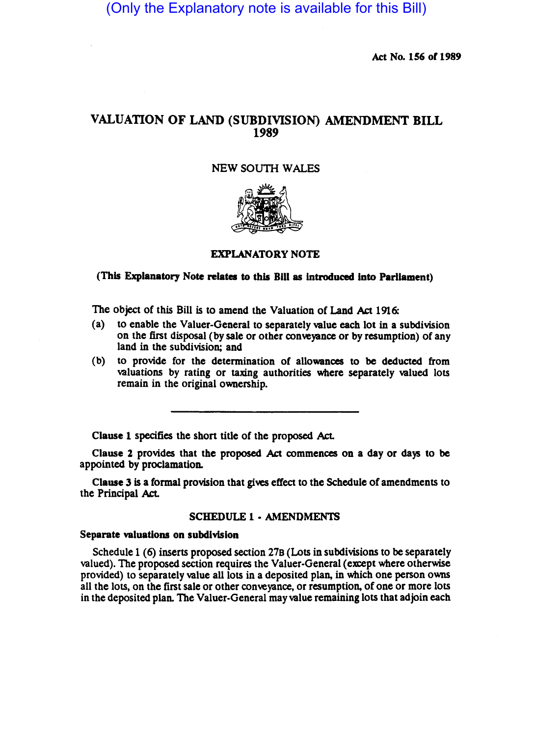(Only the Explanatory note is available for this Bill)

Act No. 156 of 1989

# VALUATION OF LAND (SUBDIVISION) AMENDMENT BILL 1989

## NEW SOUTH WALES



### EXPLANATORY NOTE

# (This Explanatory Note relates to this Bill as introduced into Parliament)

The object of this Bill is to amend the Valuation of Land Act 1916:

- (a) to enable the Valuer-General to separately value each lot in a subdivision on the first disposal (by sale or other conveyance or by resumption) of any land in the subdivision; and
- (b) to provide for the determination of allowances to be deducted from valuations by rating or taxing authorities where separately valued lots remain in the Original ownership.

Clause 1 specifies the short title of the proposed Act.

Clause 2 provides that the proposed Act commences on a day or days to be appointed by proclamation.

Clause 3 is a formal provision that gives effect to the Schedule of amendments to the Principal Act.

#### SCHEDULE 1 • AMENDMENTS

#### Separate valuations on subdivision

Schedule 1 (6) inserts proposed section 27B (Lots in subdivisions to be separately valued). The proposed section requires the Valuer-General (except where otherwise provided) to separately value all lots in a deposited plan, in which one person owns all the lots, on the first sale or other conveyance, or resumption, of one or more lots in the deposited plan. The Valuer-General may value remaining lots that adjoin each